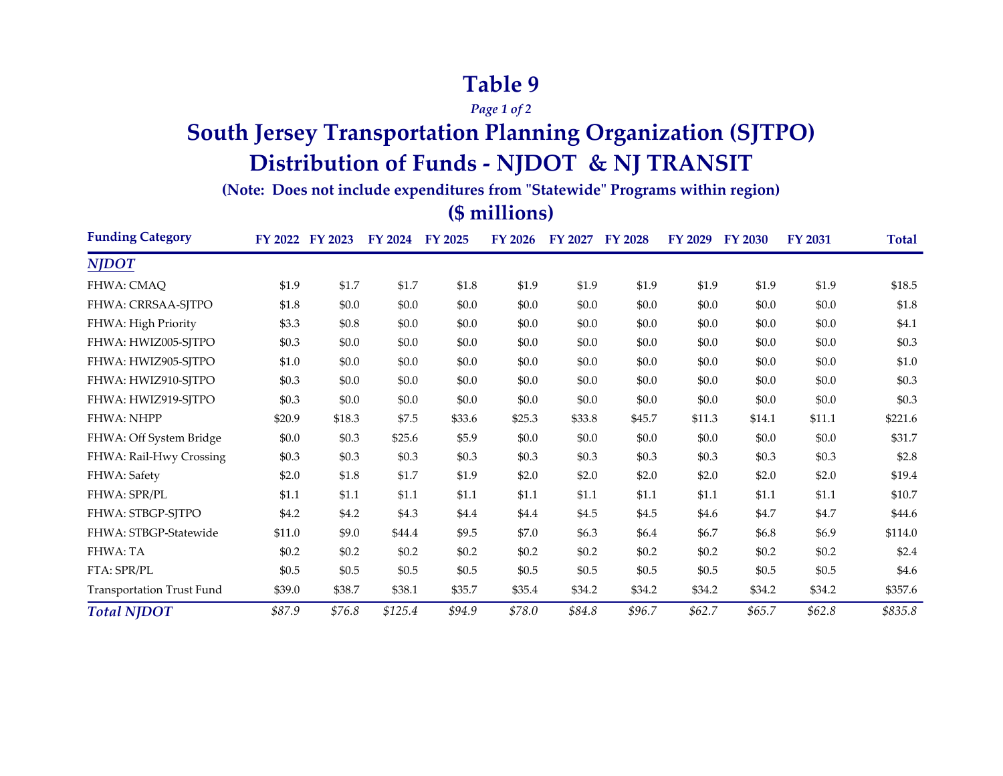## **Table 9**

*Page 1 of 2*

# **South Jersey Transportation Planning Organization (SJTPO) Distribution of Funds - NJDOT & NJ TRANSIT**

**(Note: Does not include expenditures from "Statewide" Programs within region)**

#### **(\$ millions)**

| <b>Funding Category</b>   |         | FY 2022 FY 2023 | FY 2024 FY 2025 |        | <b>FY 2026</b> | FY 2027 FY 2028 |         | <b>FY 2029</b> | <b>FY 2030</b> | <b>FY 2031</b> | Total   |
|---------------------------|---------|-----------------|-----------------|--------|----------------|-----------------|---------|----------------|----------------|----------------|---------|
| <b>NJDOT</b>              |         |                 |                 |        |                |                 |         |                |                |                |         |
| FHWA: CMAQ                | \$1.9   | \$1.7           | \$1.7           | \$1.8  | \$1.9          | \$1.9           | \$1.9   | \$1.9          | \$1.9          | \$1.9          | \$18.5  |
| <b>FHWA: CRRSAA-SJTPO</b> | \$1.8   | \$0.0           | \$0.0           | \$0.0  | \$0.0          | \$0.0           | \$0.0   | \$0.0          | \$0.0          | \$0.0          | \$1.8   |
| FHWA: High Priority       | \$3.3   | \$0.8           | \$0.0           | \$0.0  | \$0.0          | \$0.0           | \$0.0   | \$0.0          | \$0.0          | \$0.0          | \$4.1   |
| FHWA: HWIZ005-SJTPO       | \$0.3   | \$0.0           | \$0.0           | \$0.0  | \$0.0          | \$0.0           | \$0.0   | \$0.0          | \$0.0          | \$0.0          | \$0.3\$ |
| FHWA: HWIZ905-SJTPO       | \$1.0   | \$0.0           | \$0.0           | \$0.0  | \$0.0          | \$0.0           | \$0.0   | \$0.0          | \$0.0          | \$0.0          | \$1.0   |
| FHWA: HWIZ910-SJTPO       | \$0.3   | \$0.0           | \$0.0           | \$0.0  | \$0.0          | \$0.0           | \$0.0   | \$0.0          | \$0.0          | \$0.0          | \$0.3\$ |
| FHWA: HWIZ919-SJTPO       | \$0.3   | \$0.0           | \$0.0           | \$0.0  | \$0.0          | \$0.0           | \$0.0   | \$0.0          | \$0.0          | \$0.0          | \$0.3\$ |
| FHWA: NHPP                | \$20.9  | \$18.3          | \$7.5           | \$33.6 | \$25.3         | \$33.8          | \$45.7  | \$11.3         | \$14.1         | \$11.1         | \$221.6 |
| FHWA: Off System Bridge   | \$0.0   | \$0.3           | \$25.6          | \$5.9  | \$0.0          | \$0.0           | \$0.0   | \$0.0          | \$0.0          | \$0.0          | \$31.7  |
| FHWA: Rail-Hwy Crossing   | \$0.3   | \$0.3\$         | \$0.3           | \$0.3  | \$0.3          | \$0.3           | \$0.3\$ | \$0.3          | \$0.3\$        | \$0.3          | \$2.8   |
| FHWA: Safety              | \$2.0   | \$1.8           | \$1.7           | \$1.9  | \$2.0          | \$2.0           | \$2.0   | \$2.0          | \$2.0          | \$2.0          | \$19.4  |
| FHWA: SPR/PL              | \$1.1   | \$1.1           | \$1.1           | \$1.1  | \$1.1          | \$1.1           | \$1.1   | \$1.1          | \$1.1          | \$1.1          | \$10.7  |
| FHWA: STBGP-SJTPO         | \$4.2   | \$4.2           | \$4.3           | \$4.4  | \$4.4          | \$4.5           | \$4.5   | \$4.6          | \$4.7          | \$4.7          | \$44.6  |
| FHWA: STBGP-Statewide     | \$11.0  | \$9.0           | \$44.4          | \$9.5  | \$7.0          | \$6.3           | \$6.4   | \$6.7          | \$6.8\$        | \$6.9          | \$114.0 |
| <b>FHWA: TA</b>           | \$0.2\$ | \$0.2           | \$0.2\$         | \$0.2  | \$0.2\$        | \$0.2           | \$0.2   | \$0.2          | \$0.2\$        | \$0.2          | \$2.4   |
| FTA: SPR/PL               | \$0.5   | \$0.5           | \$0.5           | \$0.5  | \$0.5          | \$0.5           | \$0.5   | \$0.5          | \$0.5          | \$0.5          | \$4.6   |
| Transportation Trust Fund | \$39.0  | \$38.7          | \$38.1          | \$35.7 | \$35.4         | \$34.2          | \$34.2  | \$34.2         | \$34.2         | \$34.2         | \$357.6 |
| <b>Total NJDOT</b>        | \$87.9  | \$76.8          | \$125.4         | \$94.9 | \$78.0         | \$84.8          | \$96.7  | \$62.7         | \$65.7         | \$62.8\$       | \$835.8 |